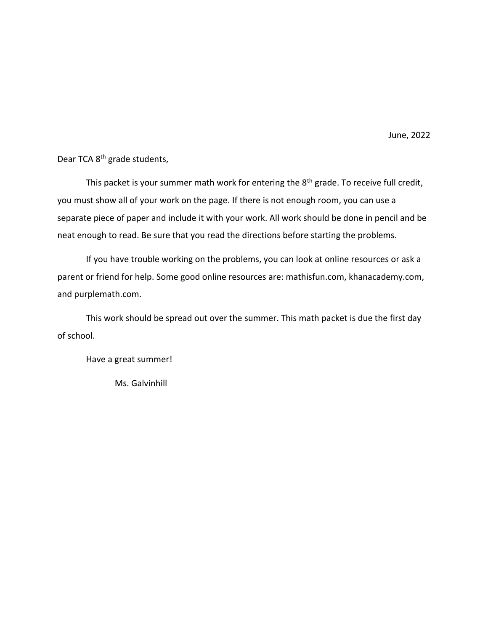June, 2022

Dear TCA 8th grade students,

This packet is your summer math work for entering the  $8<sup>th</sup>$  grade. To receive full credit, you must show all of your work on the page. If there is not enough room, you can use a separate piece of paper and include it with your work. All work should be done in pencil and be neat enough to read. Be sure that you read the directions before starting the problems.

If you have trouble working on the problems, you can look at online resources or ask a parent or friend for help. Some good online resources are: mathisfun.com, khanacademy.com, and purplemath.com.

This work should be spread out over the summer. This math packet is due the first day of school.

Have a great summer!

Ms. Galvinhill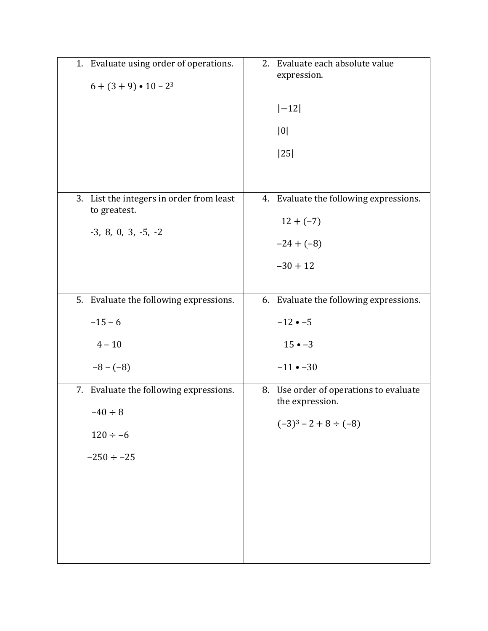| 1. Evaluate using order of operations.<br>$6 + (3 + 9) \cdot 10 - 2^3$                     | 2. Evaluate each absolute value<br>expression.<br>$ -12 $<br> 0 <br> 25                 |
|--------------------------------------------------------------------------------------------|-----------------------------------------------------------------------------------------|
| 3. List the integers in order from least<br>to greatest.<br>$-3, 8, 0, 3, -5, -2$          | 4. Evaluate the following expressions.<br>$12 + (-7)$<br>$-24 + (-8)$<br>$-30 + 12$     |
| 5. Evaluate the following expressions.<br>$-15 - 6$<br>$4 - 10$<br>$-8-(-8)$               | 6. Evaluate the following expressions.<br>$-12 - 5$<br>$15 \cdot -3$<br>$-11 - -30$     |
| 7. Evaluate the following expressions.<br>$-40 \div 8$<br>$120 \div -6$<br>$-250 \div -25$ | 8. Use order of operations to evaluate<br>the expression.<br>$(-3)^3 - 2 + 8 \div (-8)$ |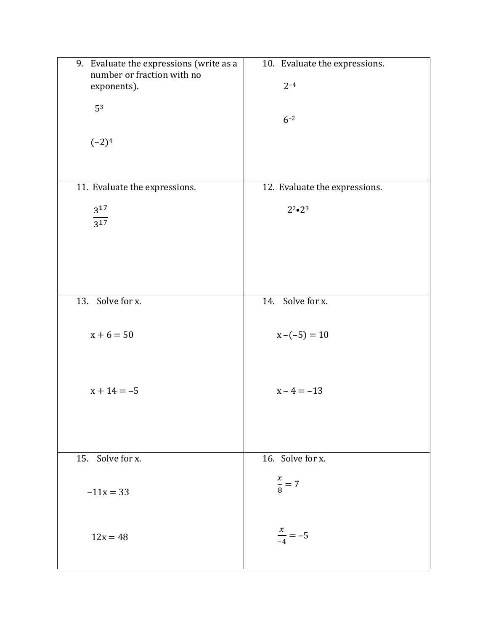| 9. Evaluate the expressions (write as a<br>number or fraction with no | 10. Evaluate the expressions. |
|-----------------------------------------------------------------------|-------------------------------|
| exponents).                                                           | $2 - 4$                       |
| 53                                                                    |                               |
|                                                                       | $6 - 2$                       |
|                                                                       |                               |
| $(-2)^4$                                                              |                               |
|                                                                       |                               |
| 11. Evaluate the expressions.                                         | 12. Evaluate the expressions. |
| $3^{17}$                                                              | $2^{2} \cdot 2^{3}$           |
| $\overline{3^{17}}$                                                   |                               |
|                                                                       |                               |
|                                                                       |                               |
|                                                                       |                               |
|                                                                       |                               |
| 13. Solve for x.                                                      | 14. Solve for x.              |
| $x + 6 = 50$                                                          |                               |
|                                                                       | $x - (-5) = 10$               |
|                                                                       |                               |
|                                                                       |                               |
| $x + 14 = -5$                                                         | $x - 4 = -13$                 |
|                                                                       |                               |
|                                                                       |                               |
|                                                                       |                               |
| 15. Solve for x.                                                      | 16. Solve for x.              |
|                                                                       | $\frac{x}{8} = 7$             |
| $-11x = 33$                                                           |                               |
|                                                                       |                               |
| $12x = 48$                                                            | $\frac{x}{-4} = -5$           |
|                                                                       |                               |
|                                                                       |                               |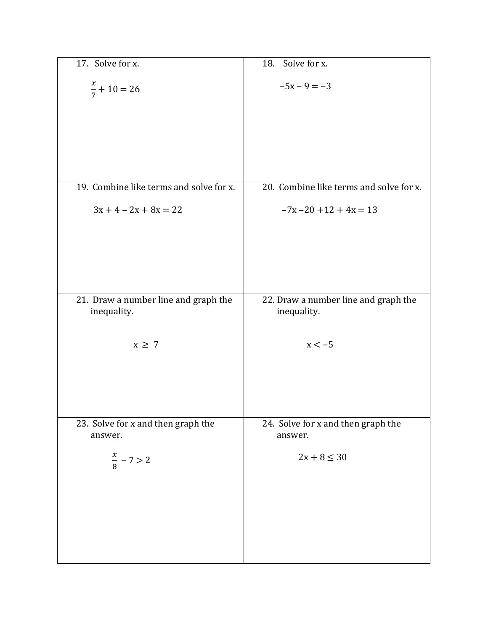| $\overline{17}$ . Solve for x.                      | 18. Solve for x.                                    |
|-----------------------------------------------------|-----------------------------------------------------|
| $\frac{x}{7}$ + 10 = 26                             | $-5x - 9 = -3$                                      |
|                                                     |                                                     |
|                                                     |                                                     |
|                                                     |                                                     |
| 19. Combine like terms and solve for x.             | 20. Combine like terms and solve for x.             |
| $3x + 4 - 2x + 8x = 22$                             | $-7x - 20 + 12 + 4x = 13$                           |
|                                                     |                                                     |
|                                                     |                                                     |
|                                                     |                                                     |
| 21. Draw a number line and graph the<br>inequality. | 22. Draw a number line and graph the<br>inequality. |
| $x \geq 7$                                          | $x < -5$                                            |
|                                                     |                                                     |
|                                                     |                                                     |
| 23. Solve for x and then graph the<br>answer.       | 24. Solve for x and then graph the<br>answer.       |
| $\frac{x}{8}$ – 7 > 2                               | $2x + 8 \le 30$                                     |
|                                                     |                                                     |
|                                                     |                                                     |
|                                                     |                                                     |
|                                                     |                                                     |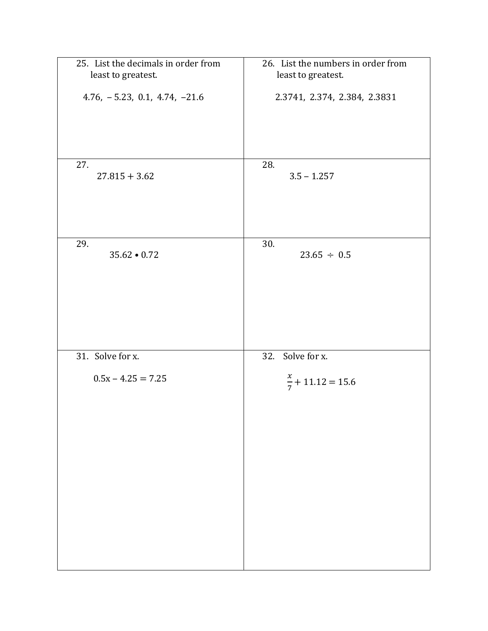| 25. List the decimals in order from<br>least to greatest. | 26. List the numbers in order from<br>least to greatest. |
|-----------------------------------------------------------|----------------------------------------------------------|
|                                                           |                                                          |
| $4.76, -5.23, 0.1, 4.74, -21.6$                           | 2.3741, 2.374, 2.384, 2.3831                             |
|                                                           |                                                          |
|                                                           |                                                          |
| 27.                                                       | 28.                                                      |
| $27.815 + 3.62$                                           | $3.5 - 1.257$                                            |
|                                                           |                                                          |
|                                                           |                                                          |
| 29.                                                       | 30.                                                      |
| $35.62 \cdot 0.72$                                        | $23.65 \div 0.5$                                         |
|                                                           |                                                          |
|                                                           |                                                          |
|                                                           |                                                          |
|                                                           |                                                          |
| 31. Solve for x.                                          | 32. Solve for x.                                         |
| $0.5x - 4.25 = 7.25$                                      | $\frac{x}{7}$ + 11.12 = 15.6                             |
|                                                           |                                                          |
|                                                           |                                                          |
|                                                           |                                                          |
|                                                           |                                                          |
|                                                           |                                                          |
|                                                           |                                                          |
|                                                           |                                                          |
|                                                           |                                                          |
|                                                           |                                                          |
|                                                           |                                                          |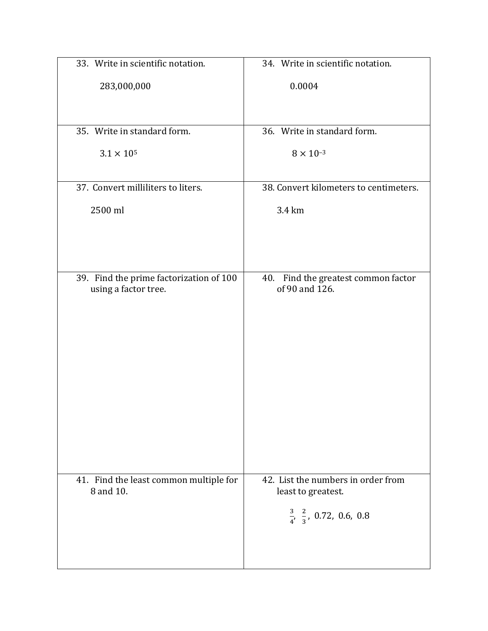| 33. Write in scientific notation.                               | 34. Write in scientific notation.                                                                          |
|-----------------------------------------------------------------|------------------------------------------------------------------------------------------------------------|
| 283,000,000                                                     | 0.0004                                                                                                     |
| 35. Write in standard form.                                     | 36. Write in standard form.                                                                                |
| $3.1 \times 10^{5}$                                             | $8 \times 10^{-3}$                                                                                         |
| 37. Convert milliliters to liters.                              | 38. Convert kilometers to centimeters.                                                                     |
| 2500 ml                                                         | 3.4 km                                                                                                     |
|                                                                 |                                                                                                            |
| 39. Find the prime factorization of 100<br>using a factor tree. | 40. Find the greatest common factor<br>of 90 and 126.                                                      |
| 41. Find the least common multiple for<br>8 and 10.             | 42. List the numbers in order from<br>least to greatest.<br>$\frac{3}{4}$ , $\frac{2}{3}$ , 0.72, 0.6, 0.8 |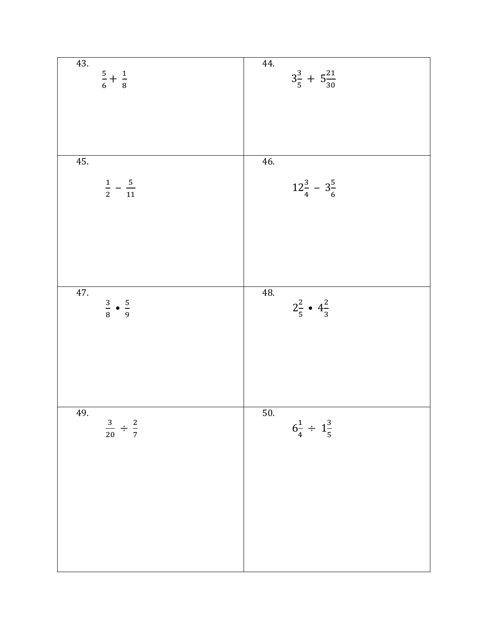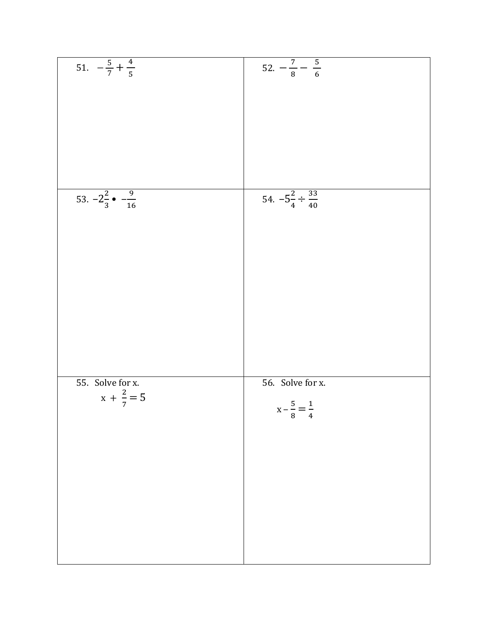| 51. $-\frac{5}{7} + \frac{4}{5}$          |                                        |
|-------------------------------------------|----------------------------------------|
|                                           | $52. - \frac{7}{8} - \frac{5}{6}$      |
|                                           |                                        |
|                                           |                                        |
|                                           |                                        |
|                                           |                                        |
|                                           |                                        |
|                                           |                                        |
|                                           |                                        |
|                                           |                                        |
|                                           |                                        |
|                                           |                                        |
|                                           |                                        |
| 53. $-2\frac{2}{3}$ $- \frac{9}{16}$      | $54. -5\frac{2}{4} \div \frac{33}{40}$ |
|                                           |                                        |
|                                           |                                        |
|                                           |                                        |
|                                           |                                        |
|                                           |                                        |
|                                           |                                        |
|                                           |                                        |
|                                           |                                        |
|                                           |                                        |
|                                           |                                        |
|                                           |                                        |
|                                           |                                        |
|                                           |                                        |
|                                           |                                        |
|                                           |                                        |
| 55. Solve for x.<br>$x + \frac{2}{7} = 5$ | 56. Solve for x.                       |
|                                           |                                        |
|                                           |                                        |
|                                           | $x - \frac{5}{8} = \frac{1}{4}$        |
|                                           |                                        |
|                                           |                                        |
|                                           |                                        |
|                                           |                                        |
|                                           |                                        |
|                                           |                                        |
|                                           |                                        |
|                                           |                                        |
|                                           |                                        |
|                                           |                                        |
|                                           |                                        |
|                                           |                                        |
|                                           |                                        |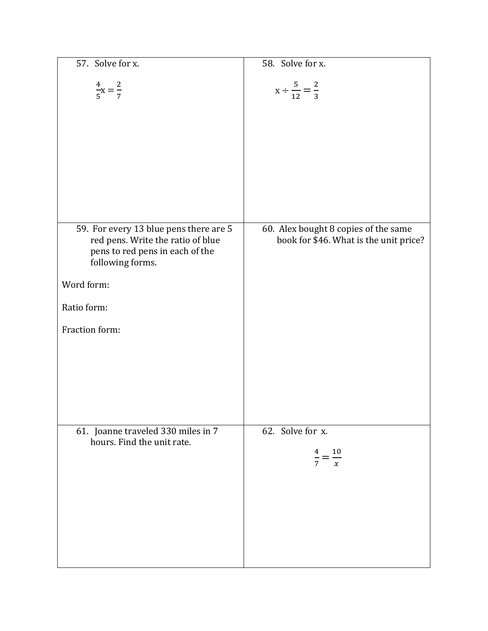| 57. Solve for x.                                                                         | 58. Solve for x.                                     |
|------------------------------------------------------------------------------------------|------------------------------------------------------|
| $\frac{4}{5}x = \frac{2}{7}$                                                             | $x \div \frac{5}{12} = \frac{2}{3}$                  |
| 59. For every 13 blue pens there are 5                                                   | 60. Alex bought 8 copies of the same                 |
| red pens. Write the ratio of blue<br>pens to red pens in each of the<br>following forms. | book for \$46. What is the unit price?               |
| Word form:                                                                               |                                                      |
| Ratio form:                                                                              |                                                      |
| Fraction form:                                                                           |                                                      |
| 61. Joanne traveled 330 miles in 7<br>hours. Find the unit rate.                         | 62. Solve for x.<br>$\frac{10}{x}$<br>$\overline{7}$ |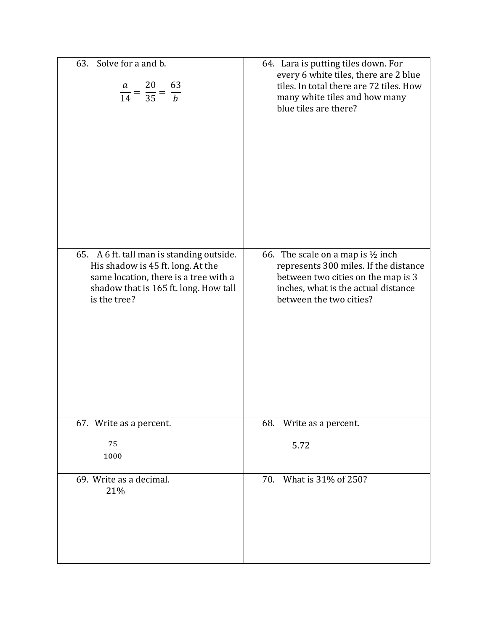| 63. Solve for a and b.<br>$\frac{a}{14} = \frac{20}{35} = \frac{63}{b}$                                                                                                          | 64. Lara is putting tiles down. For<br>every 6 white tiles, there are 2 blue<br>tiles. In total there are 72 tiles. How<br>many white tiles and how many<br>blue tiles are there?             |
|----------------------------------------------------------------------------------------------------------------------------------------------------------------------------------|-----------------------------------------------------------------------------------------------------------------------------------------------------------------------------------------------|
| 65. A 6 ft. tall man is standing outside.<br>His shadow is 45 ft. long. At the<br>same location, there is a tree with a<br>shadow that is 165 ft. long. How tall<br>is the tree? | 66. The scale on a map is $\frac{1}{2}$ inch<br>represents 300 miles. If the distance<br>between two cities on the map is 3<br>inches, what is the actual distance<br>between the two cities? |
| 67. Write as a percent.<br>75                                                                                                                                                    | 68.<br>Write as a percent.                                                                                                                                                                    |
| 1000                                                                                                                                                                             | 5.72                                                                                                                                                                                          |
| 69. Write as a decimal.<br>21%                                                                                                                                                   | 70. What is 31% of 250?                                                                                                                                                                       |